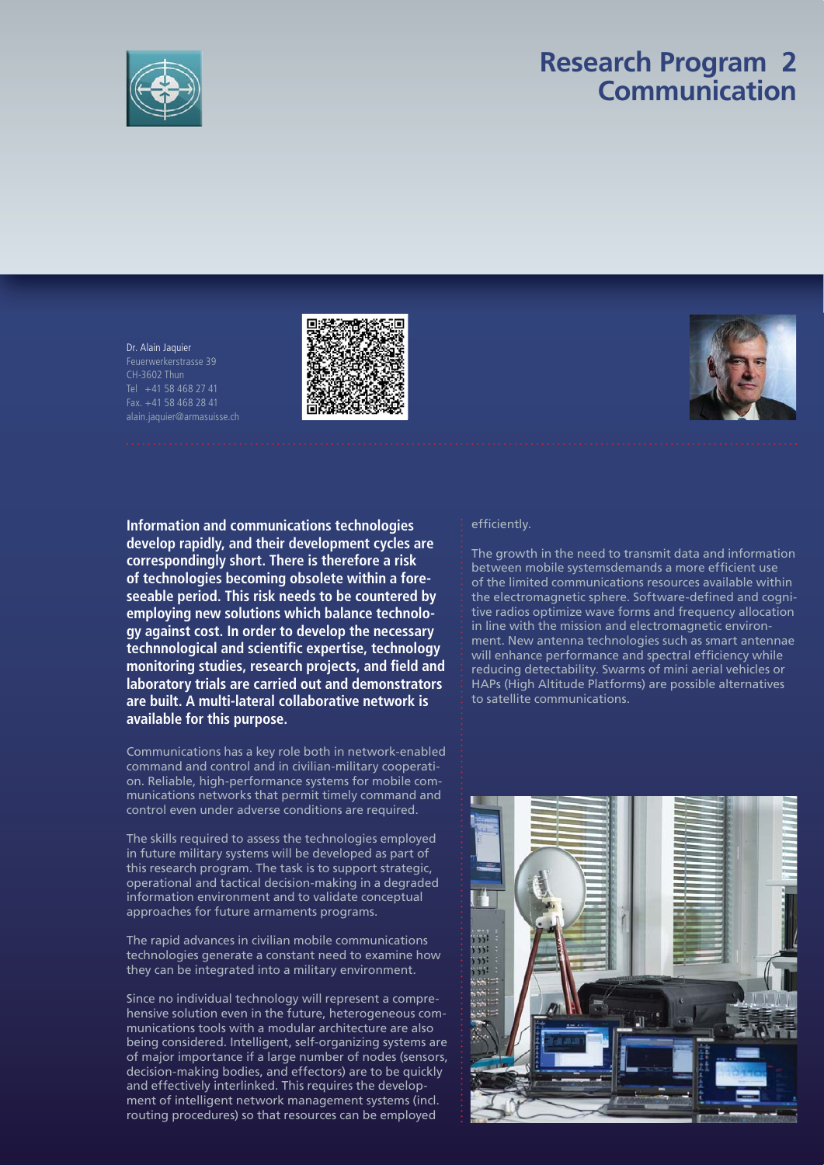

# **Research Program 2 Communication**

Dr. Alain Jaquier Feuerwerkerstrasse 39 CH-3602 Thun Tel +41 58 468 27 41 Fax. +41 58 468 28 41 alain.jaquier@armasuisse.ch





**Information and communications technologies develop rapidly, and their development cycles are correspondingly short. There is therefore a risk of technologies becoming obsolete within a foreseeable period. This risk needs to be countered by employing new solutions which balance technology against cost. In order to develop the necessary technnological and scientific expertise, technology** monitoring studies, research projects, and field and **laboratory trials are carried out and demonstrators are built. A multi-lateral collaborative network is available for this purpose.**

Communications has a key role both in network-enabled command and control and in civilian-military cooperation. Reliable, high-performance systems for mobile communications networks that permit timely command and control even under adverse conditions are required.

The skills required to assess the technologies employed in future military systems will be developed as part of this research program. The task is to support strategic, operational and tactical decision-making in a degraded information environment and to validate conceptual approaches for future armaments programs.

The rapid advances in civilian mobile communications technologies generate a constant need to examine how they can be integrated into a military environment.

Since no individual technology will represent a comprehensive solution even in the future, heterogeneous communications tools with a modular architecture are also being considered. Intelligent, self-organizing systems are of major importance if a large number of nodes (sensors, decision-making bodies, and effectors) are to be quickly and effectively interlinked. This requires the development of intelligent network management systems (incl. routing procedures) so that resources can be employed

### efficiently.

The growth in the need to transmit data and information between mobile systemsdemands a more efficient use of the limited communications resources available within the electromagnetic sphere. Software-defined and cognitive radios optimize wave forms and frequency allocation in line with the mission and electromagnetic environment. New antenna technologies such as smart antennae will enhance performance and spectral efficiency while reducing detectability. Swarms of mini aerial vehicles or HAPs (High Altitude Platforms) are possible alternatives to satellite communications.